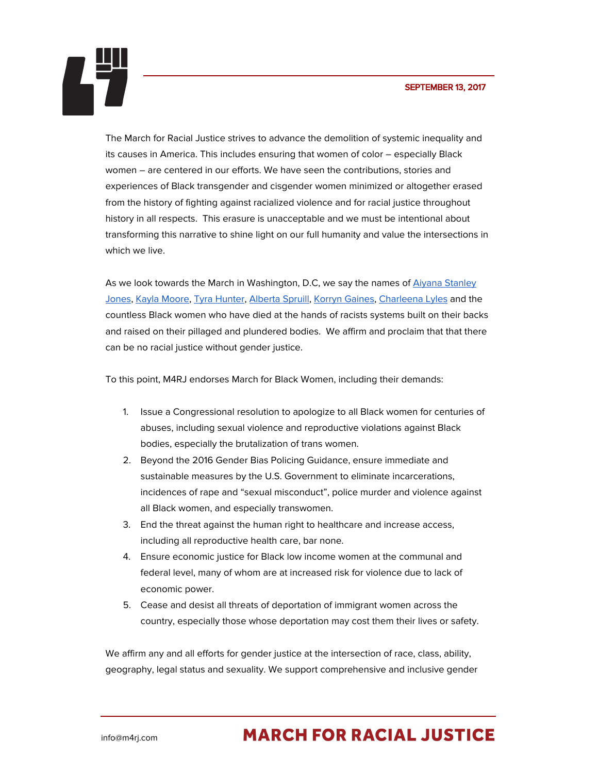## SEPTEMBER 13, 2017



The March for Racial Justice strives to advance the demolition of systemic inequality and its causes in America. This includes ensuring that women of color – especially Black women – are centered in our efforts. We have seen the contributions, stories and experiences of Black transgender and cisgender women minimized or altogether erased from the history of fighting against racialized violence and for racial justice throughout history in all respects. This erasure is unacceptable and we must be intentional about transforming this narrative to shine light on our full humanity and value the intersections in which we live.

As we look towards the March in Washington, D.C, we say the names of Aiyana [Stanley](https://www.theguardian.com/us-news/2015/jan/31/detroit-aiyana-stanley-jones-police-officer-cleared) [Jones](https://www.theguardian.com/us-news/2015/jan/31/detroit-aiyana-stanley-jones-police-officer-cleared), Kayla [Moore,](https://www.eastbayexpress.com/SevenDays/archives/2013/03/04/how-did-kayla-moore-die) Tyra [Hunter](http://transgriot.blogspot.com/2007/08/trya-hunter-anniversary.html), [Alberta](http://www.nytimes.com/2003/05/17/nyregion/woman-dies-after-police-mistakenly-raid-her-apartment.html) Spruill, Korryn [Gaines,](https://www.washingtonpost.com/news/post-nation/wp/2016/08/02/korryn-gaines-is-the-ninth-black-woman-shot-and-killed-by-police-this-year/?utm_term=.52f6edb556e1) [Charleena](http://www.thestranger.com/slog/2017/08/30/25383991/seattle-police-officers-shot-charleena-lyles-shot-7-times-before-she-died-autopsy-shows) Lyles and the countless Black women who have died at the hands of racists systems built on their backs and raised on their pillaged and plundered bodies. We affirm and proclaim that that there can be no racial justice without gender justice.

To this point, M4RJ endorses March for Black Women, including their demands:

- 1. Issue a Congressional resolution to apologize to all Black women for centuries of abuses, including sexual violence and reproductive violations against Black bodies, especially the brutalization of trans women.
- 2. Beyond the 2016 Gender Bias Policing Guidance, ensure immediate and sustainable measures by the U.S. Government to eliminate incarcerations, incidences of rape and "sexual misconduct", police murder and violence against all Black women, and especially transwomen.
- 3. End the threat against the human right to healthcare and increase access, including all reproductive health care, bar none.
- 4. Ensure economic justice for Black low income women at the communal and federal level, many of whom are at increased risk for violence due to lack of economic power.
- 5. Cease and desist all threats of deportation of immigrant women across the country, especially those whose deportation may cost them their lives or safety.

We affirm any and all efforts for gender justice at the intersection of race, class, ability, geography, legal status and sexuality. We support comprehensive and inclusive gender